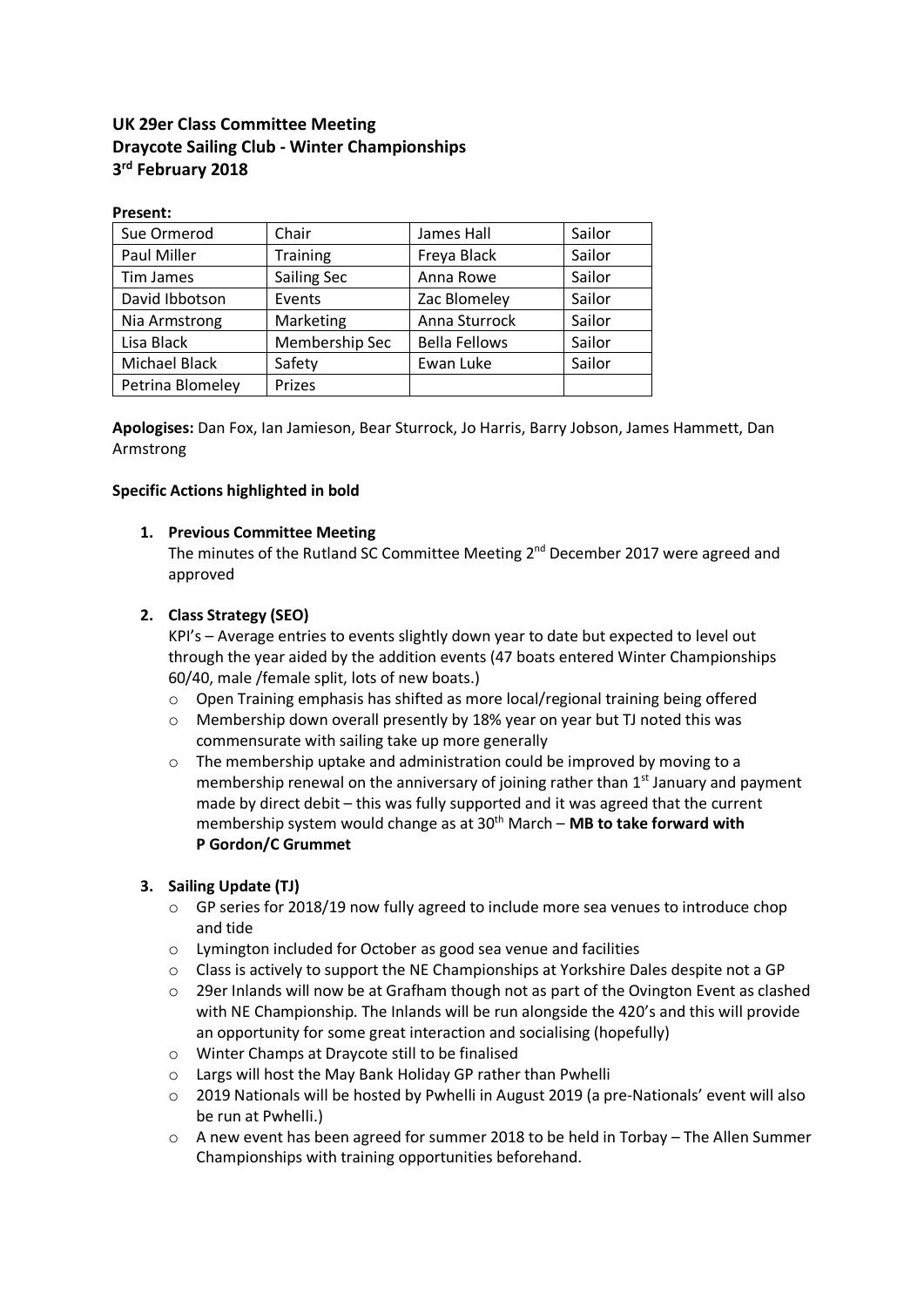# **UK 29er Class Committee Meeting Draycote Sailing Club - Winter Championships 3rd February 2018**

#### **Present:**

| Sue Ormerod      | Chair              | James Hall           | Sailor |
|------------------|--------------------|----------------------|--------|
| Paul Miller      | <b>Training</b>    | Freya Black          | Sailor |
| Tim James        | <b>Sailing Sec</b> | Anna Rowe            | Sailor |
| David Ibbotson   | Events             | Zac Blomeley         | Sailor |
| Nia Armstrong    | Marketing          | Anna Sturrock        | Sailor |
| Lisa Black       | Membership Sec     | <b>Bella Fellows</b> | Sailor |
| Michael Black    | Safety             | Ewan Luke            | Sailor |
| Petrina Blomeley | Prizes             |                      |        |

**Apologises:** Dan Fox, Ian Jamieson, Bear Sturrock, Jo Harris, Barry Jobson, James Hammett, Dan Armstrong

#### **Specific Actions highlighted in bold**

### **1. Previous Committee Meeting**

The minutes of the Rutland SC Committee Meeting 2<sup>nd</sup> December 2017 were agreed and approved

# **2. Class Strategy (SEO)**

KPI's – Average entries to events slightly down year to date but expected to level out through the year aided by the addition events (47 boats entered Winter Championships 60/40, male /female split, lots of new boats.)

- $\circ$  Open Training emphasis has shifted as more local/regional training being offered
- o Membership down overall presently by 18% year on year but TJ noted this was commensurate with sailing take up more generally
- $\circ$  The membership uptake and administration could be improved by moving to a membership renewal on the anniversary of joining rather than  $1<sup>st</sup>$  January and payment made by direct debit – this was fully supported and it was agreed that the current membership system would change as at 30<sup>th</sup> March – MB to take forward with **P Gordon/C Grummet**

# **3. Sailing Update (TJ)**

- o GP series for 2018/19 now fully agreed to include more sea venues to introduce chop and tide
- o Lymington included for October as good sea venue and facilities
- $\circ$  Class is actively to support the NE Championships at Yorkshire Dales despite not a GP
- o 29er Inlands will now be at Grafham though not as part of the Ovington Event as clashed with NE Championship. The Inlands will be run alongside the 420's and this will provide an opportunity for some great interaction and socialising (hopefully)
- o Winter Champs at Draycote still to be finalised
- o Largs will host the May Bank Holiday GP rather than Pwhelli
- $\circ$  2019 Nationals will be hosted by Pwhelli in August 2019 (a pre-Nationals' event will also be run at Pwhelli.)
- o A new event has been agreed for summer 2018 to be held in Torbay The Allen Summer Championships with training opportunities beforehand.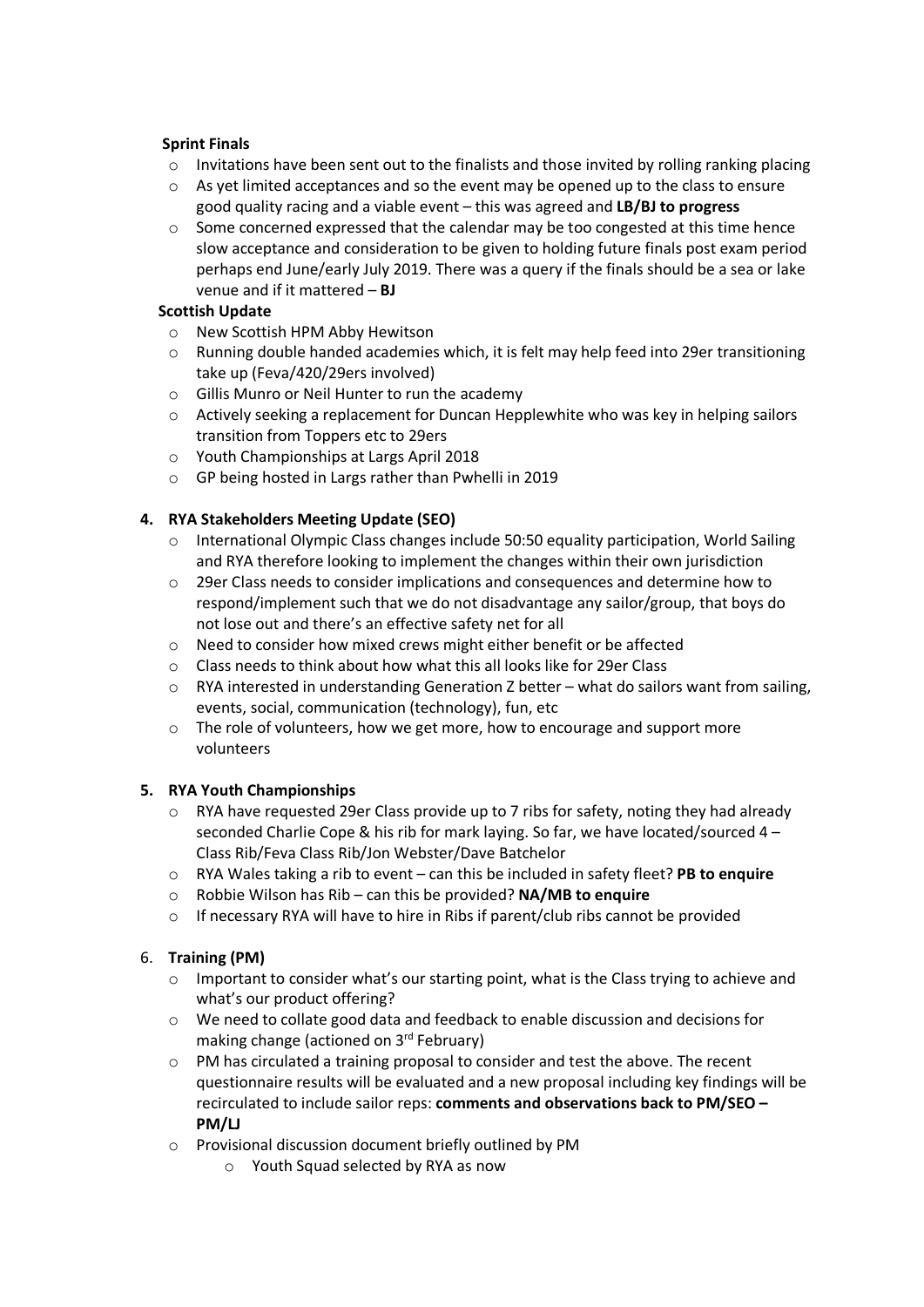### **Sprint Finals**

- $\circ$  Invitations have been sent out to the finalists and those invited by rolling ranking placing
- $\circ$  As yet limited acceptances and so the event may be opened up to the class to ensure good quality racing and a viable event – this was agreed and **LB/BJ to progress**
- $\circ$  Some concerned expressed that the calendar may be too congested at this time hence slow acceptance and consideration to be given to holding future finals post exam period perhaps end June/early July 2019. There was a query if the finals should be a sea or lake venue and if it mattered – **BJ**

### **Scottish Update**

- o New Scottish HPM Abby Hewitson
- o Running double handed academies which, it is felt may help feed into 29er transitioning take up (Feva/420/29ers involved)
- o Gillis Munro or Neil Hunter to run the academy
- o Actively seeking a replacement for Duncan Hepplewhite who was key in helping sailors transition from Toppers etc to 29ers
- o Youth Championships at Largs April 2018
- o GP being hosted in Largs rather than Pwhelli in 2019

# **4. RYA Stakeholders Meeting Update (SEO)**

- $\circ$  International Olympic Class changes include 50:50 equality participation, World Sailing and RYA therefore looking to implement the changes within their own jurisdiction
- o 29er Class needs to consider implications and consequences and determine how to respond/implement such that we do not disadvantage any sailor/group, that boys do not lose out and there's an effective safety net for all
- o Need to consider how mixed crews might either benefit or be affected
- o Class needs to think about how what this all looks like for 29er Class
- o RYA interested in understanding Generation Z better what do sailors want from sailing, events, social, communication (technology), fun, etc
- o The role of volunteers, how we get more, how to encourage and support more volunteers

# **5. RYA Youth Championships**

- o RYA have requested 29er Class provide up to 7 ribs for safety, noting they had already seconded Charlie Cope & his rib for mark laying. So far, we have located/sourced 4 – Class Rib/Feva Class Rib/Jon Webster/Dave Batchelor
- o RYA Wales taking a rib to event can this be included in safety fleet? **PB to enquire**
- o Robbie Wilson has Rib can this be provided? **NA/MB to enquire**
- o If necessary RYA will have to hire in Ribs if parent/club ribs cannot be provided

# 6. **Training (PM)**

- $\circ$  Important to consider what's our starting point, what is the Class trying to achieve and what's our product offering?
- o We need to collate good data and feedback to enable discussion and decisions for making change (actioned on 3rd February)
- $\circ$  PM has circulated a training proposal to consider and test the above. The recent questionnaire results will be evaluated and a new proposal including key findings will be recirculated to include sailor reps: **comments and observations back to PM/SEO – PM/LJ**
- o Provisional discussion document briefly outlined by PM
	- o Youth Squad selected by RYA as now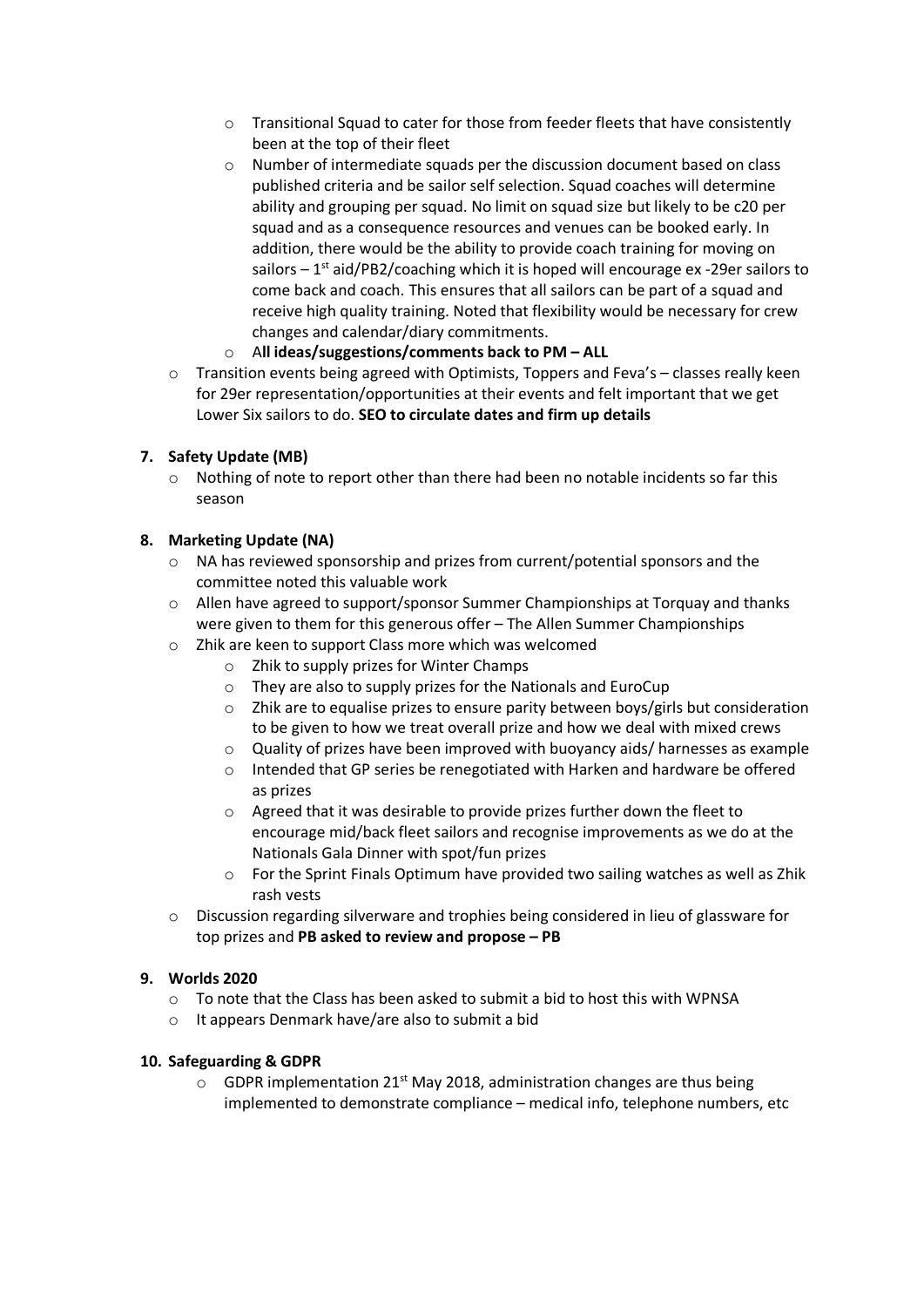- o Transitional Squad to cater for those from feeder fleets that have consistently been at the top of their fleet
- o Number of intermediate squads per the discussion document based on class published criteria and be sailor self selection. Squad coaches will determine ability and grouping per squad. No limit on squad size but likely to be c20 per squad and as a consequence resources and venues can be booked early. In addition, there would be the ability to provide coach training for moving on sailors  $-1$ <sup>st</sup> aid/PB2/coaching which it is hoped will encourage ex -29er sailors to come back and coach. This ensures that all sailors can be part of a squad and receive high quality training. Noted that flexibility would be necessary for crew changes and calendar/diary commitments.
- o A**ll ideas/suggestions/comments back to PM – ALL**
- $\circ$  Transition events being agreed with Optimists, Toppers and Feva's classes really keen for 29er representation/opportunities at their events and felt important that we get Lower Six sailors to do. **SEO to circulate dates and firm up details**

# **7. Safety Update (MB)**

o Nothing of note to report other than there had been no notable incidents so far this season

# **8. Marketing Update (NA)**

- o NA has reviewed sponsorship and prizes from current/potential sponsors and the committee noted this valuable work
- o Allen have agreed to support/sponsor Summer Championships at Torquay and thanks were given to them for this generous offer – The Allen Summer Championships
- o Zhik are keen to support Class more which was welcomed
	- o Zhik to supply prizes for Winter Champs
	- o They are also to supply prizes for the Nationals and EuroCup
	- o Zhik are to equalise prizes to ensure parity between boys/girls but consideration to be given to how we treat overall prize and how we deal with mixed crews
	- o Quality of prizes have been improved with buoyancy aids/ harnesses as example
	- o Intended that GP series be renegotiated with Harken and hardware be offered as prizes
	- o Agreed that it was desirable to provide prizes further down the fleet to encourage mid/back fleet sailors and recognise improvements as we do at the Nationals Gala Dinner with spot/fun prizes
	- o For the Sprint Finals Optimum have provided two sailing watches as well as Zhik rash vests
- o Discussion regarding silverware and trophies being considered in lieu of glassware for top prizes and **PB asked to review and propose – PB**

# **9. Worlds 2020**

- $\circ$  To note that the Class has been asked to submit a bid to host this with WPNSA
- o It appears Denmark have/are also to submit a bid

#### **10. Safeguarding & GDPR**

 $\circ$  GDPR implementation 21<sup>st</sup> May 2018, administration changes are thus being implemented to demonstrate compliance – medical info, telephone numbers, etc